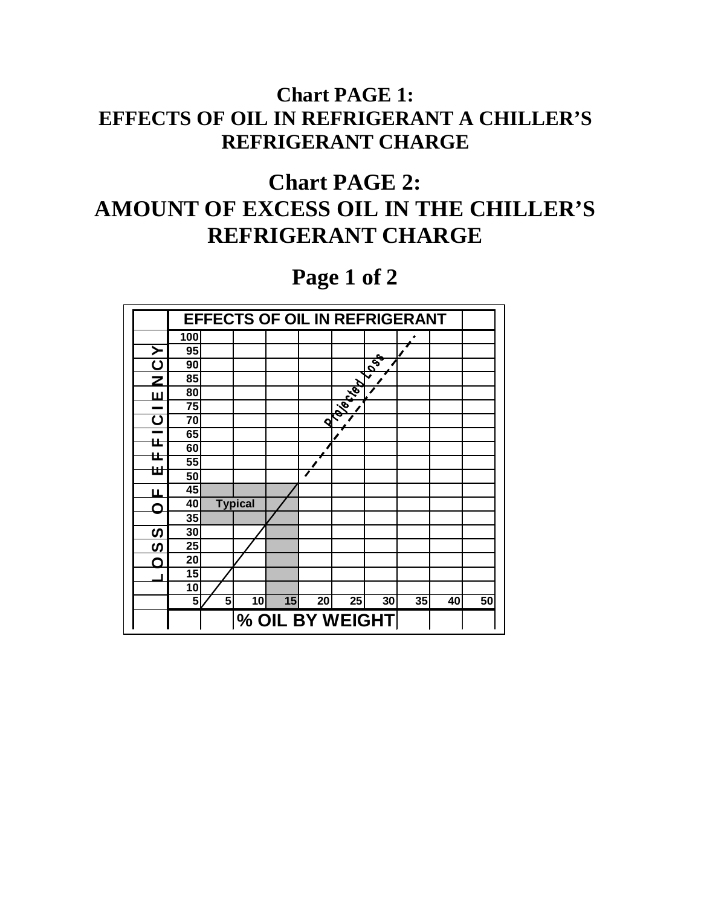## **Chart PAGE 1: EFFECTS OF OIL IN REFRIGERANT A CHILLER'S REFRIGERANT CHARGE**

## **Chart PAGE 2: AMOUNT OF EXCESS OIL IN THE CHILLER'S REFRIGERANT CHARGE**

**Page 1 of 2**

|                         | <b>EFFECTS OF OIL IN REFRIGERANT</b> |   |                |    |    |                |                                     |    |    |    |  |
|-------------------------|--------------------------------------|---|----------------|----|----|----------------|-------------------------------------|----|----|----|--|
|                         | 100                                  |   |                |    |    |                |                                     |    |    |    |  |
| ≻                       | 95                                   |   |                |    |    |                |                                     |    |    |    |  |
| Ω                       | 90                                   |   |                |    |    |                | $\tilde{\mathcal{E}}_{\mathcal{G}}$ |    |    |    |  |
| Ζ                       | 85                                   |   |                |    |    |                |                                     |    |    |    |  |
| Ш                       | 80                                   |   |                |    |    | <b>Digital</b> |                                     |    |    |    |  |
|                         | 75                                   |   |                |    |    |                |                                     |    |    |    |  |
| $\overline{\mathbf{C}}$ | 70                                   |   |                |    | ଏ  |                |                                     |    |    |    |  |
|                         | 65                                   |   |                |    |    |                |                                     |    |    |    |  |
| ᄔ                       | 60                                   |   |                |    |    |                |                                     |    |    |    |  |
| ᄔ                       | 55                                   |   |                |    |    |                |                                     |    |    |    |  |
| Ш                       | 50                                   |   |                |    | ◢  |                |                                     |    |    |    |  |
| ய                       | 45                                   |   |                |    |    |                |                                     |    |    |    |  |
|                         | 40                                   |   | <b>Typical</b> |    |    |                |                                     |    |    |    |  |
|                         | 35                                   |   |                |    |    |                |                                     |    |    |    |  |
| S                       | 30                                   |   |                |    |    |                |                                     |    |    |    |  |
| <u>ທ</u>                | 25                                   |   |                |    |    |                |                                     |    |    |    |  |
| ∩                       | 20                                   |   |                |    |    |                |                                     |    |    |    |  |
|                         | 15                                   |   |                |    |    |                |                                     |    |    |    |  |
|                         | 10                                   |   |                |    |    |                |                                     |    |    |    |  |
|                         | 5                                    | 5 | 10             | 15 | 20 | 25             | 30                                  | 35 | 40 | 50 |  |
|                         | % OIL BY WEIGHT                      |   |                |    |    |                |                                     |    |    |    |  |